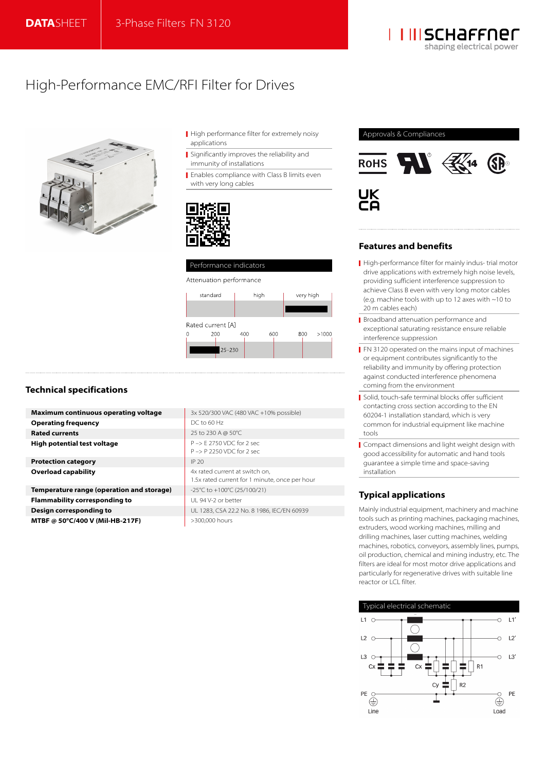

# High-Performance EMC/RFI Filter for Drives



- High performance filter for extremely noisy applications
- Significantly improves the reliability and immunity of installations
- **Enables compliance with Class B limits even** with very long cables





# **Technical specifications**

| <b>Maximum continuous operating voltage</b> | 3x 520/300 VAC (480 VAC +10% possible)                                           |
|---------------------------------------------|----------------------------------------------------------------------------------|
| <b>Operating frequency</b>                  | DC to 60 Hz                                                                      |
| <b>Rated currents</b>                       | 25 to 230 A @ 50°C                                                               |
| High potential test voltage                 | P-> E 2750 VDC for 2 sec<br>$P \rightarrow P$ 2250 VDC for 2 sec                 |
| <b>Protection category</b>                  | IP 20                                                                            |
| <b>Overload capability</b>                  | 4x rated current at switch on,<br>1.5x rated current for 1 minute, once per hour |
| Temperature range (operation and storage)   | -25°C to +100°C (25/100/21)                                                      |
| <b>Flammability corresponding to</b>        | UI 94 V-2 or better                                                              |
| Design corresponding to                     | UL 1283, CSA 22.2 No. 8 1986, IEC/EN 60939                                       |
| MTBF @ 50°C/400 V (Mil-HB-217F)             | >300,000 hours                                                                   |



## **Features and benefits**

- High-performance filter for mainly indus- trial motor drive applications with extremely high noise levels, providing sufficient interference suppression to achieve Class B even with very long motor cables (e.g. machine tools with up to 12 axes with ~10 to 20 m cables each)
- **Broadband attenuation performance and** exceptional saturating resistance ensure reliable interference suppression
- **FN 3120 operated on the mains input of machines** or equipment contributes significantly to the reliability and immunity by offering protection against conducted interference phenomena coming from the environment
- Solid, touch-safe terminal blocks offer sufficient contacting cross section according to the EN 60204-1 installation standard, which is very common for industrial equipment like machine tools
- Compact dimensions and light weight design with good accessibility for automatic and hand tools guarantee a simple time and space-saving installation

# **Typical applications**

Mainly industrial equipment, machinery and machine tools such as printing machines, packaging machines, extruders, wood working machines, milling and drilling machines, laser cutting machines, welding machines, robotics, conveyors, assembly lines, pumps, oil production, chemical and mining industry, etc. The filters are ideal for most motor drive applications and particularly for regenerative drives with suitable line reactor or LCL filter.

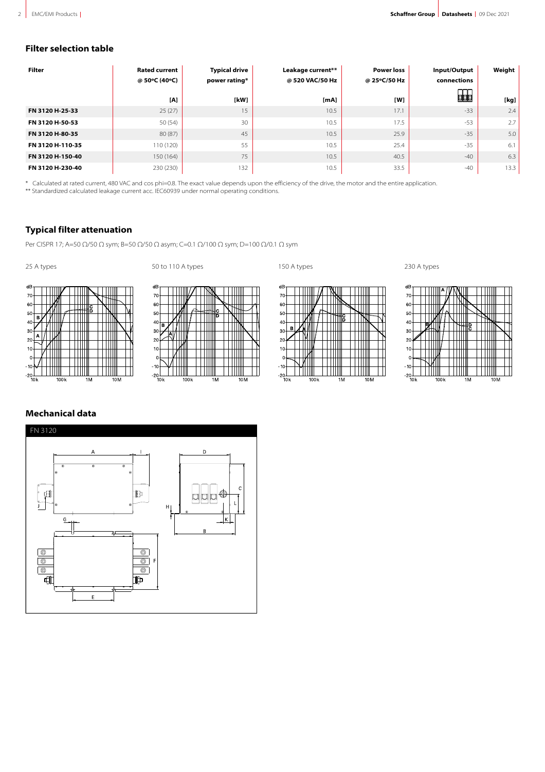# **Filter selection table**

| <b>Filter</b>    | <b>Rated current</b><br>@ 50°C (40°C) | <b>Typical drive</b><br>power rating* | Leakage current**<br>@520 VAC/50 Hz | <b>Power loss</b><br>@ 25°C/50 Hz | Input/Output<br>connections | Weight |
|------------------|---------------------------------------|---------------------------------------|-------------------------------------|-----------------------------------|-----------------------------|--------|
|                  | [A]                                   | [kW]                                  | [mA]                                | [W]                               | 品                           | [kg]   |
| FN 3120 H-25-33  | 25(27)                                | 15                                    | 10.5                                | 17.1                              | $-33$                       | 2.4    |
| FN 3120 H-50-53  | 50(54)                                | 30                                    | 10.5                                | 17.5                              | $-53$                       | 2.7    |
| FN 3120 H-80-35  | 80 (87)                               | 45                                    | 10.5                                | 25.9                              | $-35$                       | 5.0    |
| FN 3120 H-110-35 | 110 (120)                             | 55                                    | 10.5                                | 25.4                              | $-35$                       | 6.1    |
| FN 3120 H-150-40 | 150 (164)                             | 75                                    | 10.5                                | 40.5                              | $-40$                       | 6.3    |
| FN 3120 H-230-40 | 230 (230)                             | 132                                   | 10.5                                | 33.5                              | $-40$                       | 13.3   |

\* Calculated at rated current, 480 VAC and cos phi=0.8. The exact value depends upon the efficiency of the drive, the motor and the entire application.

\*\* Standardized calculated leakage current acc. IEC60939 under normal operating conditions.

# **Typical filter attenuation**

Per CISPR 17; A=50 Ω/50 Ω sym; B=50 Ω/50 Ω asym; C=0.1 Ω/100 Ω sym; D=100 Ω/0.1 Ω sym



25 A types 230 A types 50 to 110 A types 150 A types 150 A types 230 A types











# **Mechanical data**

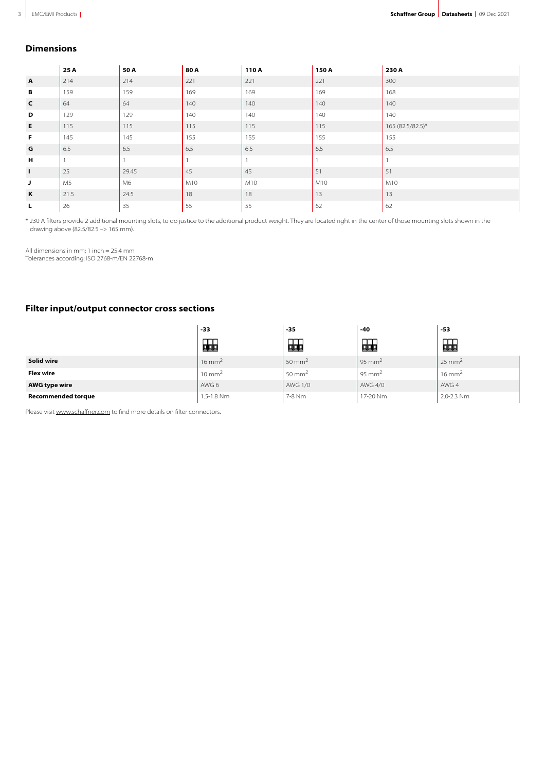### **Dimensions**

|              | 25 A           | 50 A  | 80 A | 110A | 150 A | 230 A            |
|--------------|----------------|-------|------|------|-------|------------------|
| $\mathbf{A}$ | 214            | 214   | 221  | 221  | 221   | 300              |
| В            | 159            | 159   | 169  | 169  | 169   | 168              |
| $\mathsf{C}$ | 64             | 64    | 140  | 140  | 140   | 140              |
| D            | 129            | 129   | 140  | 140  | 140   | 140              |
| E            | 115            | 115   | 115  | 115  | 115   | 165 (82.5/82.5)* |
| F            | 145            | 145   | 155  | 155  | 155   | 155              |
| G            | 6.5            | 6.5   | 6.5  | 6.5  | 6.5   | 6.5              |
| н            |                |       |      |      |       |                  |
| $\mathbf{I}$ | 25             | 29.45 | 45   | 45   | 51    | 51               |
| J            | M <sub>5</sub> | M6    | M10  | M10  | M10   | M10              |
| K            | 21.5           | 24.5  | 18   | 18   | 13    | 13               |
| L.           | 26             | 35    | 55   | 55   | 62    | 62               |

\* 230 A filters provide 2 additional mounting slots, to do justice to the additional product weight. They are located right in the center of those mounting slots shown in the drawing above (82.5/82.5 –> 165 mm).

All dimensions in mm; 1 inch = 25.4 mm Tolerances according: ISO 2768-m/EN 22768-m

# **Filter input/output connector cross sections**

|                           | -33               | $-35$             | $-40$              | $-53$             |
|---------------------------|-------------------|-------------------|--------------------|-------------------|
|                           | ~~<br>蛔           | 的                 | ---<br>蛔           | 品                 |
| Solid wire                | $16 \text{ mm}^2$ | $50 \text{ mm}^2$ | 95 mm <sup>2</sup> | $25 \text{ mm}^2$ |
| <b>Flex wire</b>          | $10 \text{ mm}^2$ | $50 \text{ mm}^2$ | 95 mm <sup>2</sup> | $16 \text{ mm}^2$ |
| <b>AWG type wire</b>      | AWG 6             | <b>AWG 1/0</b>    | AWG 4/0            | AWG 4             |
| <b>Recommended torque</b> | 1.5-1.8 Nm        | 7-8 Nm            | 17-20 Nm           | 2.0-2.3 Nm        |

Please visit [www.schaffner.com](https://www.schaffner.com) to find more details on filter connectors.